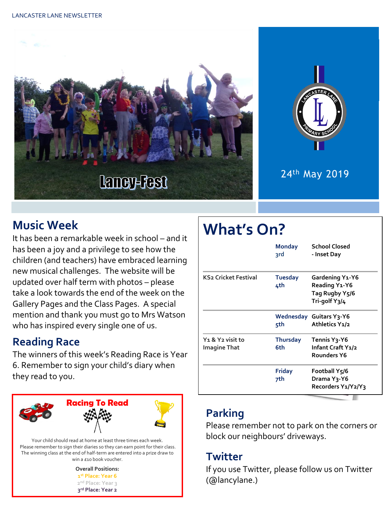



### 24th May 2019

# **Music Week**

It has been a remarkable week in school – and it has been a joy and a privilege to see how the children (and teachers) have embraced learning new musical challenges. The website will be updated over half term with photos – please take a look towards the end of the week on the Gallery Pages and the Class Pages. A special mention and thank you must go to Mrs Watson who has inspired every single one of us.

# **Reading Race**

The winners of this week's Reading Race is Year 6. Remember to sign your child's diary when they read to you.



The winning class at the end of half-term are entered into a prize draw to win a £10 book voucher.

| <b>Overall Positions:</b>     |  |  |
|-------------------------------|--|--|
| 1st Place: Year 6             |  |  |
| 2 <sup>nd</sup> Place: Year 3 |  |  |
| 3rd Place: Year 2             |  |  |

# **What's On?**

|                                                                 | <b>Monday</b><br>3rd   | <b>School Closed</b><br>- Inset Day                                               |
|-----------------------------------------------------------------|------------------------|-----------------------------------------------------------------------------------|
| <b>KS2 Cricket Festival</b>                                     | <b>Tuesday</b><br>4th  | <b>Gardening Y1-Y6</b><br><b>Reading Y1-Y6</b><br>Tag Rugby Y5/6<br>Tri-golf Y3/4 |
|                                                                 | 5th                    | <b>Wednesday Guitars Y3-Y6</b><br>Athletics Y1/2                                  |
| Y <sub>1</sub> & Y <sub>2</sub> visit to<br><b>Imagine That</b> | <b>Thursday</b><br>6th | Tennis Y <sub>3</sub> -Y6<br>Infant Craft Y1/2<br>Rounders Y6                     |
|                                                                 | Friday<br>7th          | Football Y5/6<br>Drama Y <sub>3</sub> -Y6<br>Recorders Y1/Y2/Y3                   |
|                                                                 |                        |                                                                                   |

# **Parking**

Please remember not to park on the corners or block our neighbours' driveways.

#### **Twitter**

If you use Twitter, please follow us on Twitter (@lancylane.)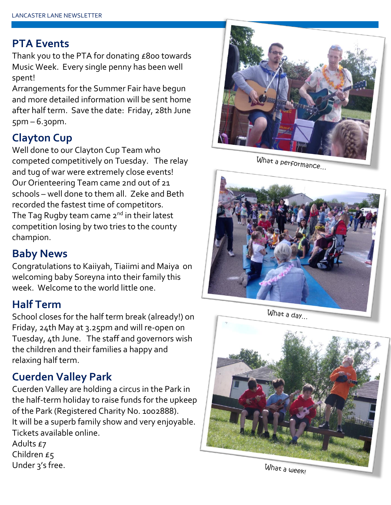#### **PTA Events**

Thank you to the PTA for donating £800 towards Music Week. Every single penny has been well spent!

Arrangements for the Summer Fair have begun and more detailed information will be sent home after half term. Save the date: Friday, 28th June  $5pm - 6.30pm.$ 

## **Clayton Cup**

Well done to our Clayton Cup Team who competed competitively on Tuesday. The relay and tug of war were extremely close events! Our Orienteering Team came 2nd out of 21 schools – well done to them all. Zeke and Beth recorded the fastest time of competitors. The Tag Rugby team came  $2<sup>nd</sup>$  in their latest competition losing by two tries to the county champion.

#### **Baby News**

Congratulations to Kaiiyah, Tiaiimi and Maiya on welcoming baby Soreyna into their family this week. Welcome to the world little one.

#### **Half Term**

School closes for the half term break (already!) on Friday, 24th May at 3.25pm and will re-open on Tuesday, 4th June. The staff and governors wish the children and their families a happy and relaxing half term.

## **Cuerden Valley Park**

Cuerden Valley are holding a circus in the Park in the half-term holiday to raise funds for the upkeep of the Park (Registered Charity No. 1002888). It will be a superb family show and very enjoyable. Tickets available online.

Adults £7 Children £5 Under 3's free.



What a performance...



What a day...



What a week!